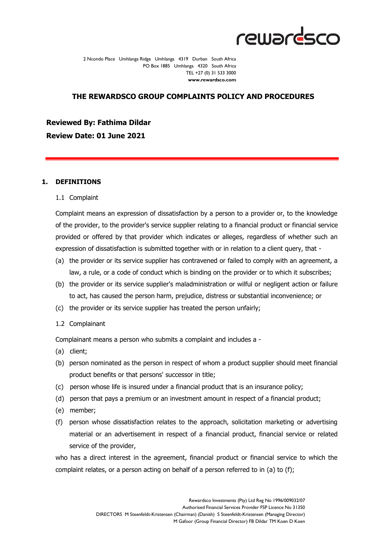

2 Ncondo Place Umhlanga Ridge Umhlanga 4319 Durban South Africa PO Box 1885 Umhlanga 4320 South Africa TEL +27 (0) 31 533 3000 **www.rewardsco.com**

## **THE REWARDSCO GROUP COMPLAINTS POLICY AND PROCEDURES**

**Reviewed By: Fathima Dildar Review Date: 01 June 2021**

#### **1. DEFINITIONS**

#### 1.1 Complaint

Complaint means an expression of dissatisfaction by a person to a provider or, to the knowledge of the provider, to the provider's service supplier relating to a financial product or financial service provided or offered by that provider which indicates or alleges, regardless of whether such an expression of dissatisfaction is submitted together with or in relation to a client query, that -

- (a) the provider or its service supplier has contravened or failed to comply with an agreement, a law, a rule, or a code of conduct which is binding on the provider or to which it subscribes;
- (b) the provider or its service supplier's maladministration or wilful or negligent action or failure to act, has caused the person harm, prejudice, distress or substantial inconvenience; or
- (c) the provider or its service supplier has treated the person unfairly;
- 1.2 Complainant

Complainant means a person who submits a complaint and includes a -

- (a) client;
- (b) person nominated as the person in respect of whom a product supplier should meet financial product benefits or that persons' successor in title;
- (c) person whose life is insured under a financial product that is an insurance policy;
- (d) person that pays a premium or an investment amount in respect of a financial product;
- (e) member;
- (f) person whose dissatisfaction relates to the approach, solicitation marketing or advertising material or an advertisement in respect of a financial product, financial service or related service of the provider,

who has a direct interest in the agreement, financial product or financial service to which the complaint relates, or a person acting on behalf of a person referred to in (a) to (f);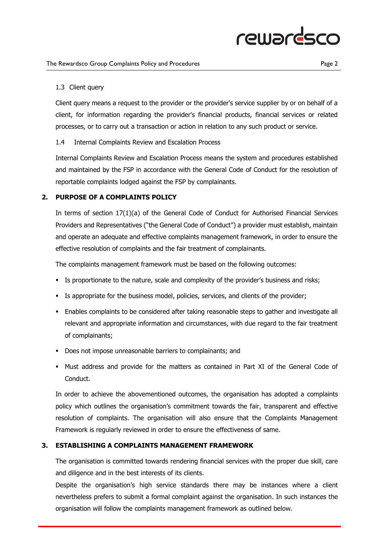### 1.3 Client query

Client query means a request to the provider or the provider's service supplier by or on behalf of a client, for information regarding the provider's financial products, financial services or related processes, or to carry out a transaction or action in relation to any such product or service.

## 1.4 Internal Complaints Review and Escalation Process

Internal Complaints Review and Escalation Process means the system and procedures established and maintained by the FSP in accordance with the General Code of Conduct for the resolution of reportable complaints lodged against the FSP by complainants.

## **2. PURPOSE OF A COMPLAINTS POLICY**

In terms of section 17(1)(a) of the General Code of Conduct for Authorised Financial Services Providers and Representatives ("the General Code of Conduct") a provider must establish, maintain and operate an adequate and effective complaints management framework, in order to ensure the effective resolution of complaints and the fair treatment of complainants.

The complaints management framework must be based on the following outcomes:

- **EXED** Is proportionate to the nature, scale and complexity of the provider's business and risks;
- **EXECT:** Is appropriate for the business model, policies, services, and clients of the provider;
- **E** Enables complaints to be considered after taking reasonable steps to gather and investigate all relevant and appropriate information and circumstances, with due regard to the fair treatment of complainants;
- Does not impose unreasonable barriers to complainants; and
- Must address and provide for the matters as contained in Part XI of the General Code of Conduct.

In order to achieve the abovementioned outcomes, the organisation has adopted a complaints policy which outlines the organisation's commitment towards the fair, transparent and effective resolution of complaints. The organisation will also ensure that the Complaints Management Framework is regularly reviewed in order to ensure the effectiveness of same.

## **3. ESTABLISHING A COMPLAINTS MANAGEMENT FRAMEWORK**

The organisation is committed towards rendering financial services with the proper due skill, care and diligence and in the best interests of its clients.

Despite the organisation's high service standards there may be instances where a client nevertheless prefers to submit a formal complaint against the organisation. In such instances the organisation will follow the complaints management framework as outlined below.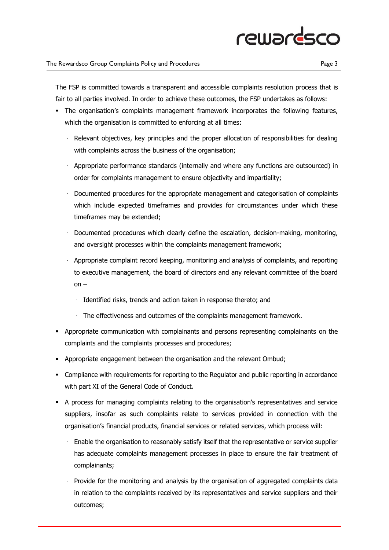# rewardsco

The FSP is committed towards a transparent and accessible complaints resolution process that is fair to all parties involved. In order to achieve these outcomes, the FSP undertakes as follows:

- **•** The organisation's complaints management framework incorporates the following features, which the organisation is committed to enforcing at all times:
	- · Relevant objectives, key principles and the proper allocation of responsibilities for dealing with complaints across the business of the organisation;
	- · Appropriate performance standards (internally and where any functions are outsourced) in order for complaints management to ensure objectivity and impartiality;
	- · Documented procedures for the appropriate management and categorisation of complaints which include expected timeframes and provides for circumstances under which these timeframes may be extended;
	- · Documented procedures which clearly define the escalation, decision-making, monitoring, and oversight processes within the complaints management framework;
	- · Appropriate complaint record keeping, monitoring and analysis of complaints, and reporting to executive management, the board of directors and any relevant committee of the board on –
		- · Identified risks, trends and action taken in response thereto; and
		- · The effectiveness and outcomes of the complaints management framework.
- **•** Appropriate communication with complainants and persons representing complainants on the complaints and the complaints processes and procedures;
- Appropriate engagement between the organisation and the relevant Ombud;
- **Compliance with requirements for reporting to the Regulator and public reporting in accordance** with part XI of the General Code of Conduct.
- A process for managing complaints relating to the organisation's representatives and service suppliers, insofar as such complaints relate to services provided in connection with the organisation's financial products, financial services or related services, which process will:
	- · Enable the organisation to reasonably satisfy itself that the representative or service supplier has adequate complaints management processes in place to ensure the fair treatment of complainants;
	- · Provide for the monitoring and analysis by the organisation of aggregated complaints data in relation to the complaints received by its representatives and service suppliers and their outcomes;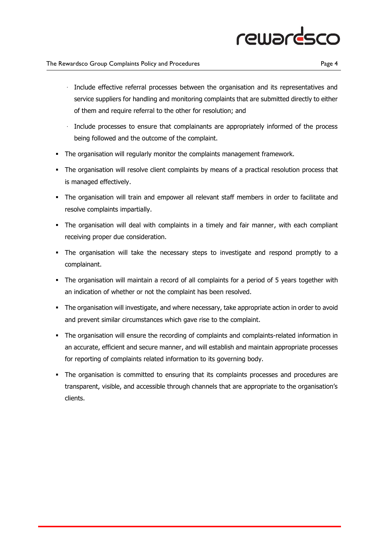# rewardsco

### The Rewardsco Group Complaints Policy and Procedures **Page 4** and  $P$

- · Include effective referral processes between the organisation and its representatives and service suppliers for handling and monitoring complaints that are submitted directly to either of them and require referral to the other for resolution; and
- · Include processes to ensure that complainants are appropriately informed of the process being followed and the outcome of the complaint.
- The organisation will regularly monitor the complaints management framework.
- **•** The organisation will resolve client complaints by means of a practical resolution process that is managed effectively.
- **•** The organisation will train and empower all relevant staff members in order to facilitate and resolve complaints impartially.
- The organisation will deal with complaints in a timely and fair manner, with each compliant receiving proper due consideration.
- The organisation will take the necessary steps to investigate and respond promptly to a complainant.
- The organisation will maintain a record of all complaints for a period of 5 years together with an indication of whether or not the complaint has been resolved.
- **•** The organisation will investigate, and where necessary, take appropriate action in order to avoid and prevent similar circumstances which gave rise to the complaint.
- **•** The organisation will ensure the recording of complaints and complaints-related information in an accurate, efficient and secure manner, and will establish and maintain appropriate processes for reporting of complaints related information to its governing body.
- **•** The organisation is committed to ensuring that its complaints processes and procedures are transparent, visible, and accessible through channels that are appropriate to the organisation's clients.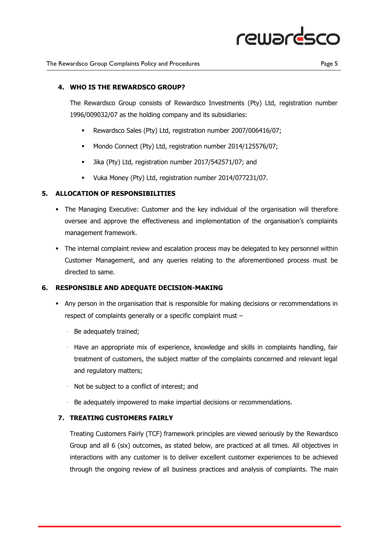

### **4. WHO IS THE REWARDSCO GROUP?**

The Rewardsco Group consists of Rewardsco Investments (Pty) Ltd, registration number 1996/009032/07 as the holding company and its subsidiaries:

- Rewardsco Sales (Pty) Ltd, registration number 2007/006416/07;
- Mondo Connect (Pty) Ltd, registration number 2014/125576/07;
- Jika (Pty) Ltd, registration number 2017/542571/07; and
- Vuka Money (Pty) Ltd, registration number 2014/077231/07.

## **5. ALLOCATION OF RESPONSIBILITIES**

- **•** The Managing Executive: Customer and the key individual of the organisation will therefore oversee and approve the effectiveness and implementation of the organisation's complaints management framework.
- **•** The internal complaint review and escalation process may be delegated to key personnel within Customer Management, and any queries relating to the aforementioned process must be directed to same.

### **6. RESPONSIBLE AND ADEQUATE DECISION-MAKING**

- **•** Any person in the organisation that is responsible for making decisions or recommendations in respect of complaints generally or a specific complaint must –
	- · Be adequately trained;
	- · Have an appropriate mix of experience, knowledge and skills in complaints handling, fair treatment of customers, the subject matter of the complaints concerned and relevant legal and regulatory matters;
	- · Not be subject to a conflict of interest; and
	- · Be adequately impowered to make impartial decisions or recommendations.

## **7. TREATING CUSTOMERS FAIRLY**

Treating Customers Fairly (TCF) framework principles are viewed seriously by the Rewardsco Group and all 6 (six) outcomes, as stated below, are practiced at all times. All objectives in interactions with any customer is to deliver excellent customer experiences to be achieved through the ongoing review of all business practices and analysis of complaints. The main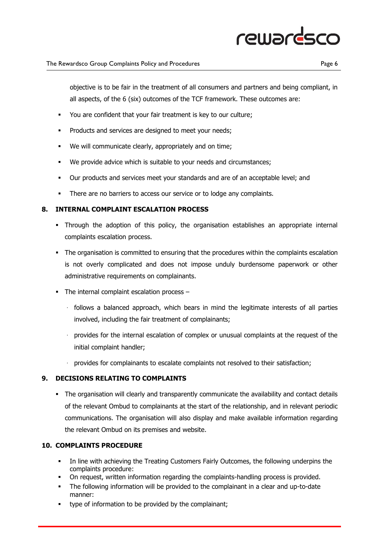# rewardsco

objective is to be fair in the treatment of all consumers and partners and being compliant, in all aspects, of the 6 (six) outcomes of the TCF framework. These outcomes are:

- You are confident that your fair treatment is key to our culture;
- **•** Products and services are designed to meet your needs;
- We will communicate clearly, appropriately and on time;
- We provide advice which is suitable to your needs and circumstances;
- Our products and services meet your standards and are of an acceptable level; and
- **•** There are no barriers to access our service or to lodge any complaints.

## **8. INTERNAL COMPLAINT ESCALATION PROCESS**

- Through the adoption of this policy, the organisation establishes an appropriate internal complaints escalation process.
- The organisation is committed to ensuring that the procedures within the complaints escalation is not overly complicated and does not impose unduly burdensome paperwork or other administrative requirements on complainants.
- **•** The internal complaint escalation process
	- · follows a balanced approach, which bears in mind the legitimate interests of all parties involved, including the fair treatment of complainants;
	- · provides for the internal escalation of complex or unusual complaints at the request of the initial complaint handler;
	- provides for complainants to escalate complaints not resolved to their satisfaction;

## **9. DECISIONS RELATING TO COMPLAINTS**

• The organisation will clearly and transparently communicate the availability and contact details of the relevant Ombud to complainants at the start of the relationship, and in relevant periodic communications. The organisation will also display and make available information regarding the relevant Ombud on its premises and website.

## **10. COMPLAINTS PROCEDURE**

- **•** In line with achieving the Treating Customers Fairly Outcomes, the following underpins the complaints procedure:
- **•** On request, written information regarding the complaints-handling process is provided.
- The following information will be provided to the complainant in a clear and up-to-date manner:
- type of information to be provided by the complainant;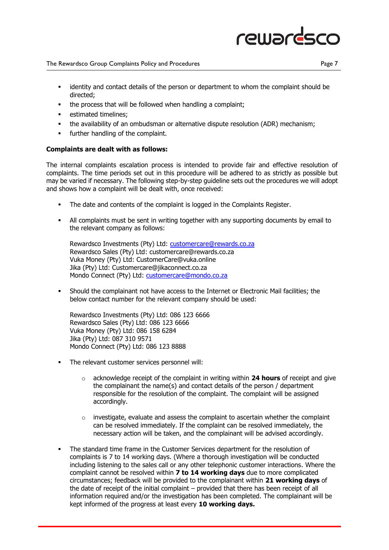

#### The Rewardsco Group Complaints Policy and Procedures **Page 7** 2014 1998 2014

- **■** identity and contact details of the person or department to whom the complaint should be directed;
- the process that will be followed when handling a complaint:
- **•** estimated timelines:
- **•** the availability of an ombudsman or alternative dispute resolution (ADR) mechanism;
- further handling of the complaint.

### **Complaints are dealt with as follows:**

The internal complaints escalation process is intended to provide fair and effective resolution of complaints. The time periods set out in this procedure will be adhered to as strictly as possible but may be varied if necessary. The following step-by-step guideline sets out the procedures we will adopt and shows how a complaint will be dealt with, once received:

- The date and contents of the complaint is logged in the Complaints Register.
- All complaints must be sent in writing together with any supporting documents by email to the relevant company as follows:

Rewardsco Investments (Pty) Ltd: customercare@rewards.co.za Rewardsco Sales (Pty) Ltd: customercare@rewards.co.za Vuka Money (Pty) Ltd: CustomerCare@vuka.online Jika (Pty) Ltd: Customercare@jikaconnect.co.za Mondo Connect (Pty) Ltd: [customercare@mondo.co.za](mailto:customercare@mondo.co.za)

▪ Should the complainant not have access to the Internet or Electronic Mail facilities; the below contact number for the relevant company should be used:

Rewardsco Investments (Pty) Ltd: 086 123 6666 Rewardsco Sales (Pty) Ltd: 086 123 6666 Vuka Money (Pty) Ltd: 086 158 6284 Jika (Pty) Ltd: 087 310 9571 Mondo Connect (Pty) Ltd: 086 123 8888

- The relevant customer services personnel will:
	- o acknowledge receipt of the complaint in writing within **24 hours** of receipt and give the complainant the name(s) and contact details of the person / department responsible for the resolution of the complaint. The complaint will be assigned accordingly.
	- $\circ$  investigate, evaluate and assess the complaint to ascertain whether the complaint can be resolved immediately. If the complaint can be resolved immediately, the necessary action will be taken, and the complainant will be advised accordingly.
- The standard time frame in the Customer Services department for the resolution of complaints is 7 to 14 working days. (Where a thorough investigation will be conducted including listening to the sales call or any other telephonic customer interactions. Where the complaint cannot be resolved within **7 to 14 working days** due to more complicated circumstances; feedback will be provided to the complainant within **21 working days** of the date of receipt of the initial complaint – provided that there has been receipt of all information required and/or the investigation has been completed. The complainant will be kept informed of the progress at least every **10 working days.**